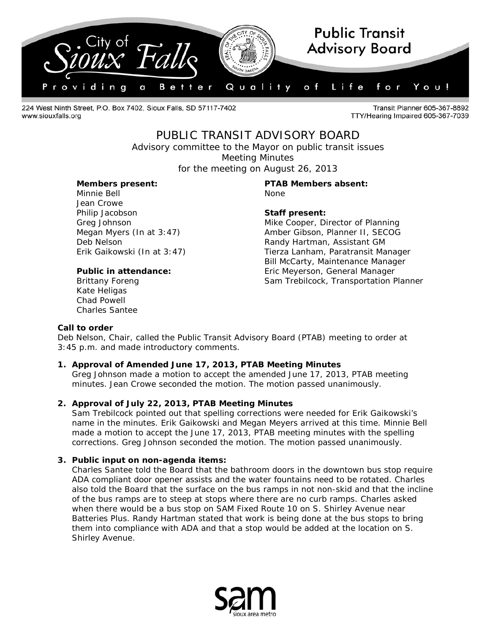

224 West Ninth Street, P.O. Box 7402, Sioux Falls, SD 57117-7402 www.siouxfalls.org

Transit Planner 605-367-8892 TTY/Hearing Impaired 605-367-7039

## PUBLIC TRANSIT ADVISORY BOARD

*Advisory committee to the Mayor on public transit issues* Meeting Minutes

for the meeting on August 26, 2013

Minnie Bell None Jean Crowe Philip Jacobson **Staff present:**

Kate Heligas Chad Powell Charles Santee

# **Members present: PTAB Members absent:**

Greg Johnson **Mike Cooper**, Director of Planning Megan Myers (In at 3:47) Amber Gibson, Planner II, SECOG Deb Nelson **Randy Hartman, Assistant GM** Erik Gaikowski (In at 3:47) Tierza Lanham, Paratransit Manager Bill McCarty, Maintenance Manager **Public in attendance:** Eric Meyerson, General Manager Brittany Foreng Transportation Planner Sam Trebilcock, Transportation Planner

#### **Call to order**

Deb Nelson, Chair, called the Public Transit Advisory Board (PTAB) meeting to order at 3:45 p.m. and made introductory comments.

### **1. Approval of Amended June 17, 2013, PTAB Meeting Minutes**

Greg Johnson made a motion to accept the amended June 17, 2013, PTAB meeting minutes. Jean Crowe seconded the motion. The motion passed unanimously.

### **2. Approval of July 22, 2013, PTAB Meeting Minutes**

Sam Trebilcock pointed out that spelling corrections were needed for Erik Gaikowski's name in the minutes. Erik Gaikowski and Megan Meyers arrived at this time. Minnie Bell made a motion to accept the June 17, 2013, PTAB meeting minutes with the spelling corrections. Greg Johnson seconded the motion. The motion passed unanimously.

#### **3. Public input on non-agenda items:**

Charles Santee told the Board that the bathroom doors in the downtown bus stop require ADA compliant door opener assists and the water fountains need to be rotated. Charles also told the Board that the surface on the bus ramps in not non-skid and that the incline of the bus ramps are to steep at stops where there are no curb ramps. Charles asked when there would be a bus stop on SAM Fixed Route 10 on S. Shirley Avenue near Batteries Plus. Randy Hartman stated that work is being done at the bus stops to bring them into compliance with ADA and that a stop would be added at the location on S. Shirley Avenue.

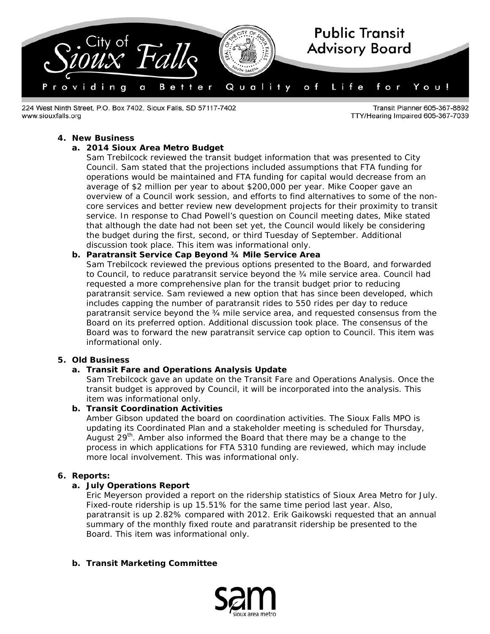

224 West Ninth Street, P.O. Box 7402, Sioux Falls, SD 57117-7402 www.siouxfalls.org

Transit Planner 605-367-8892 TTY/Hearing Impaired 605-367-7039

#### **4. New Business**

### **a. 2014 Sioux Area Metro Budget**

Sam Trebilcock reviewed the transit budget information that was presented to City Council. Sam stated that the projections included assumptions that FTA funding for operations would be maintained and FTA funding for capital would decrease from an average of \$2 million per year to about \$200,000 per year. Mike Cooper gave an overview of a Council work session, and efforts to find alternatives to some of the noncore services and better review new development projects for their proximity to transit service. In response to Chad Powell's question on Council meeting dates, Mike stated that although the date had not been set yet, the Council would likely be considering the budget during the first, second, or third Tuesday of September. Additional discussion took place. This item was informational only.

#### **b. Paratransit Service Cap Beyond ¾ Mile Service Area**

Sam Trebilcock reviewed the previous options presented to the Board, and forwarded to Council, to reduce paratransit service beyond the ¾ mile service area. Council had requested a more comprehensive plan for the transit budget prior to reducing paratransit service. Sam reviewed a new option that has since been developed, which includes capping the number of paratransit rides to 550 rides per day to reduce paratransit service beyond the ¾ mile service area, and requested consensus from the Board on its preferred option. Additional discussion took place. The consensus of the Board was to forward the new paratransit service cap option to Council. This item was informational only.

#### **5. Old Business**

#### **a. Transit Fare and Operations Analysis Update**

Sam Trebilcock gave an update on the Transit Fare and Operations Analysis. Once the transit budget is approved by Council, it will be incorporated into the analysis. This item was informational only.

#### **b. Transit Coordination Activities**

Amber Gibson updated the board on coordination activities. The Sioux Falls MPO is updating its Coordinated Plan and a stakeholder meeting is scheduled for Thursday, August 29<sup>th</sup>. Amber also informed the Board that there may be a change to the process in which applications for FTA 5310 funding are reviewed, which may include more local involvement. This was informational only.

### **6. Reports:**

#### **a. July Operations Report**

Eric Meyerson provided a report on the ridership statistics of Sioux Area Metro for July. Fixed-route ridership is up 15.51% for the same time period last year. Also, paratransit is up 2.82% compared with 2012. Erik Gaikowski requested that an annual summary of the monthly fixed route and paratransit ridership be presented to the Board. This item was informational only.

### **b. Transit Marketing Committee**